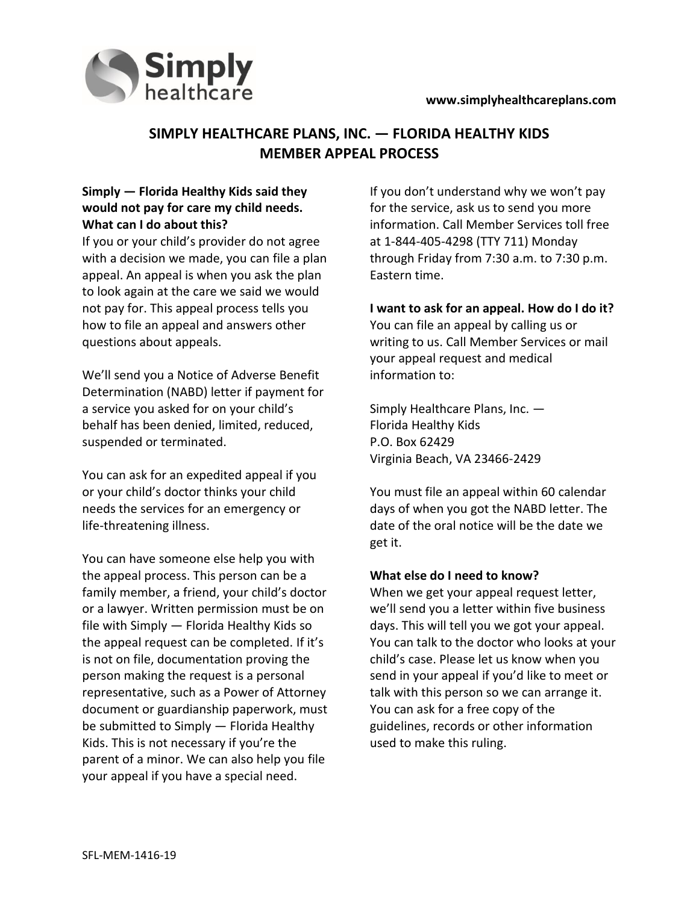



# **SIMPLY HEALTHCARE PLANS, INC. — FLORIDA HEALTHY KIDS MEMBER APPEAL PROCESS**

### **Simply — Florida Healthy Kids said they would not pay for care my child needs. What can I do about this?**

If you or your child's provider do not agree with a decision we made, you can file a plan appeal. An appeal is when you ask the plan to look again at the care we said we would not pay for. This appeal process tells you how to file an appeal and answers other questions about appeals.

We'll send you a Notice of Adverse Benefit Determination (NABD) letter if payment for a service you asked for on your child's behalf has been denied, limited, reduced, suspended or terminated.

You can ask for an expedited appeal if you or your child's doctor thinks your child needs the services for an emergency or life-threatening illness.

You can have someone else help you with the appeal process. This person can be a family member, a friend, your child's doctor or a lawyer. Written permission must be on file with Simply — Florida Healthy Kids so the appeal request can be completed. If it's is not on file, documentation proving the person making the request is a personal representative, such as a Power of Attorney document or guardianship paperwork, must be submitted to Simply — Florida Healthy Kids. This is not necessary if you're the parent of a minor. We can also help you file your appeal if you have a special need.

If you don't understand why we won't pay for the service, ask us to send you more information. Call Member Services toll free at 1-844-405-4298 (TTY 711) Monday through Friday from 7:30 a.m. to 7:30 p.m. Eastern time.

**I want to ask for an appeal. How do I do it?**  You can file an appeal by calling us or writing to us. Call Member Services or mail your appeal request and medical information to:

Simply Healthcare Plans, Inc. — Florida Healthy Kids P.O. Box 62429 Virginia Beach, VA 23466-2429

You must file an appeal within 60 calendar days of when you got the NABD letter. The date of the oral notice will be the date we get it.

#### **What else do I need to know?**

When we get your appeal request letter, we'll send you a letter within five business days. This will tell you we got your appeal. You can talk to the doctor who looks at your child's case. Please let us know when you send in your appeal if you'd like to meet or talk with this person so we can arrange it. You can ask for a free copy of the guidelines, records or other information used to make this ruling.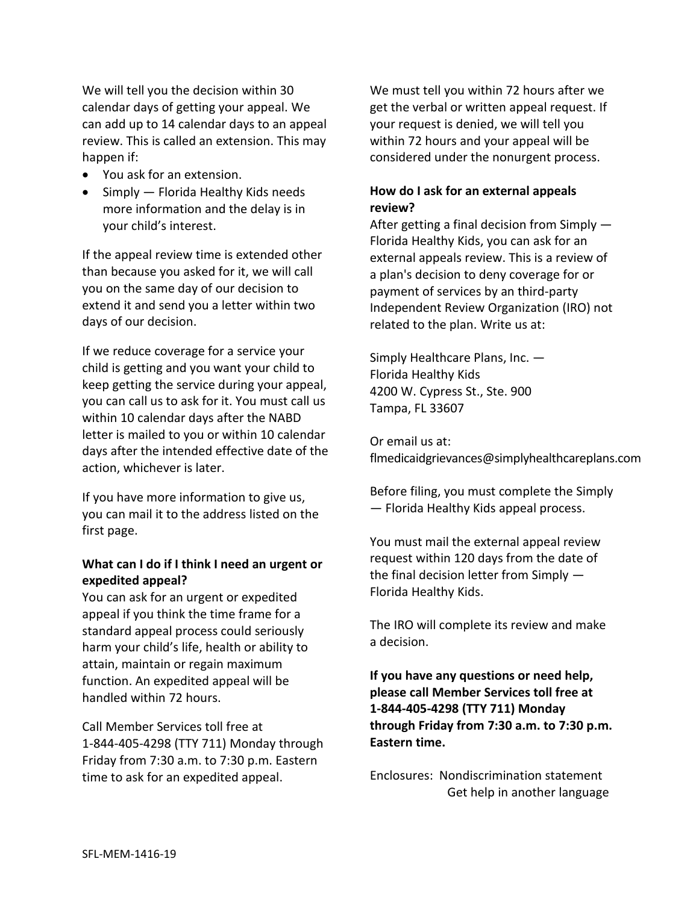We will tell you the decision within 30 calendar days of getting your appeal. We can add up to 14 calendar days to an appeal review. This is called an extension. This may happen if:

- You ask for an extension.
- $\bullet$  Simply Florida Healthy Kids needs more information and the delay is in your child's interest.

If the appeal review time is extended other than because you asked for it, we will call you on the same day of our decision to extend it and send you a letter within two days of our decision.

If we reduce coverage for a service your child is getting and you want your child to keep getting the service during your appeal, you can call us to ask for it. You must call us within 10 calendar days after the NABD letter is mailed to you or within 10 calendar days after the intended effective date of the action, whichever is later.

If you have more information to give us, you can mail it to the address listed on the first page.

#### **What can I do if I think I need an urgent or expedited appeal?**

You can ask for an urgent or expedited appeal if you think the time frame for a standard appeal process could seriously harm your child's life, health or ability to attain, maintain or regain maximum function. An expedited appeal will be handled within 72 hours.

Call Member Services toll free at 1-844-405-4298 (TTY 711) Monday through Friday from 7:30 a.m. to 7:30 p.m. Eastern time to ask for an expedited appeal.

We must tell you within 72 hours after we get the verbal or written appeal request. If your request is denied, we will tell you within 72 hours and your appeal will be considered under the nonurgent process.

### **How do I ask for an external appeals review?**

After getting a final decision from Simply — Florida Healthy Kids, you can ask for an external appeals review. This is a review of a plan's decision to deny coverage for or payment of services by an third-party Independent Review Organization (IRO) not related to the plan. Write us at:

Simply Healthcare Plans, Inc. — Florida Healthy Kids 4200 W. Cypress St., Ste. 900 Tampa, FL 33607

Or email us at: [flmedicaidgrievances@simplyhealthcareplans.com](mailto:flmedicaidgrievances@simplyhealthcareplans.com) 

Before filing, you must complete the Simply — Florida Healthy Kids appeal process.

You must mail the external appeal review request within 120 days from the date of the final decision letter from Simply — Florida Healthy Kids.

The IRO will complete its review and make a decision.

**If you have any questions or need help, please call Member Services toll free at 1-844-405-4298 (TTY 711) Monday through Friday from 7:30 a.m. to 7:30 p.m. Eastern time.** 

Enclosures: Nondiscrimination statement Get help in another language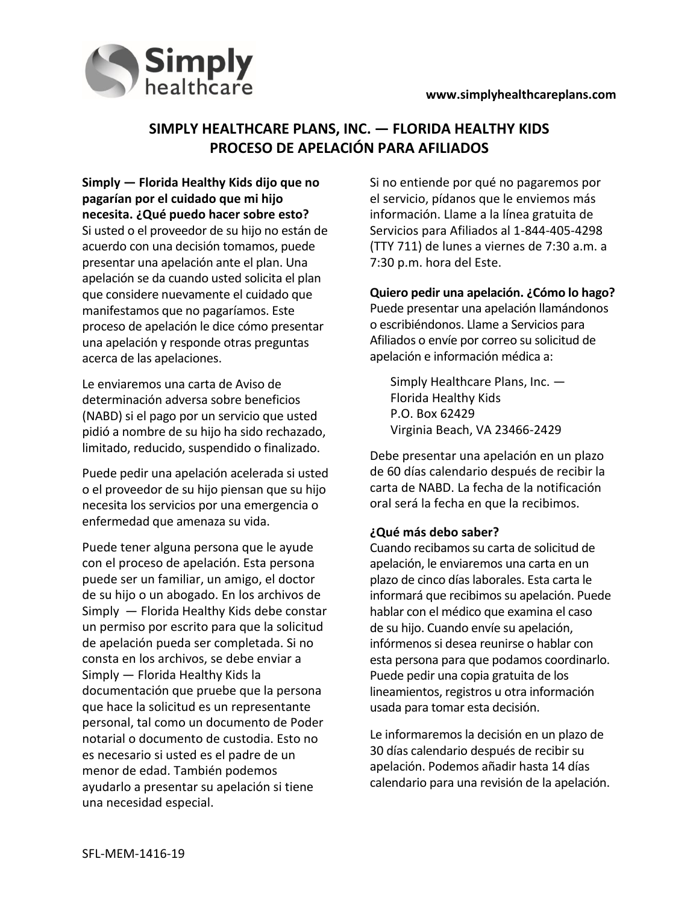

## **SIMPLY HEALTHCARE PLANS, INC. — FLORIDA HEALTHY KIDS PROCESO DE APELACIÓN PARA AFILIADOS**

**Simply — Florida Healthy Kids dijo que no pagarían por el cuidado que mi hijo necesita. ¿Qué puedo hacer sobre esto?** Si usted o el proveedor de su hijo no están de acuerdo con una decisión tomamos, puede presentar una apelación ante el plan. Una apelación se da cuando usted solicita el plan que considere nuevamente el cuidado que manifestamos que no pagaríamos. Este proceso de apelación le dice cómo presentar una apelación y responde otras preguntas acerca de las apelaciones.

Le enviaremos una carta de Aviso de determinación adversa sobre beneficios (NABD) si el pago por un servicio que usted pidió a nombre de su hijo ha sido rechazado, limitado, reducido, suspendido o finalizado.

Puede pedir una apelación acelerada si usted o el proveedor de su hijo piensan que su hijo necesita los servicios por una emergencia o enfermedad que amenaza su vida.

Puede tener alguna persona que le ayude con el proceso de apelación. Esta persona puede ser un familiar, un amigo, el doctor de su hijo o un abogado. En los archivos de Simply — Florida Healthy Kids debe constar un permiso por escrito para que la solicitud de apelación pueda ser completada. Si no consta en los archivos, se debe enviar a Simply — Florida Healthy Kids la documentación que pruebe que la persona que hace la solicitud es un representante personal, tal como un documento de Poder notarial o documento de custodia. Esto no es necesario si usted es el padre de un menor de edad. También podemos ayudarlo a presentar su apelación si tiene una necesidad especial.

Si no entiende por qué no pagaremos por el servicio, pídanos que le enviemos más información. Llame a la línea gratuita de Servicios para Afiliados al 1-844-405-4298 (TTY 711) de lunes a viernes de 7:30 a.m. a 7:30 p.m. hora del Este.

**Quiero pedir una apelación. ¿Cómo lo hago?**  Puede presentar una apelación llamándonos o escribiéndonos. Llame a Servicios para Afiliados o envíe por correo su solicitud de apelación e información médica a:

Simply Healthcare Plans, Inc. — Florida Healthy Kids P.O. Box 62429 Virginia Beach, VA 23466-2429

Debe presentar una apelación en un plazo de 60 días calendario después de recibir la carta de NABD. La fecha de la notificación oral será la fecha en que la recibimos.

#### **¿Qué más debo saber?**

Cuando recibamos su carta de solicitud de apelación, le enviaremos una carta en un plazo de cinco días laborales. Esta carta le informará que recibimos su apelación. Puede hablar con el médico que examina el caso de su hijo. Cuando envíe su apelación, infórmenos si desea reunirse o hablar con esta persona para que podamos coordinarlo. Puede pedir una copia gratuita de los lineamientos, registros u otra información usada para tomar esta decisión.

Le informaremos la decisión en un plazo de 30 días calendario después de recibir su apelación. Podemos añadir hasta 14 días calendario para una revisión de la apelación.